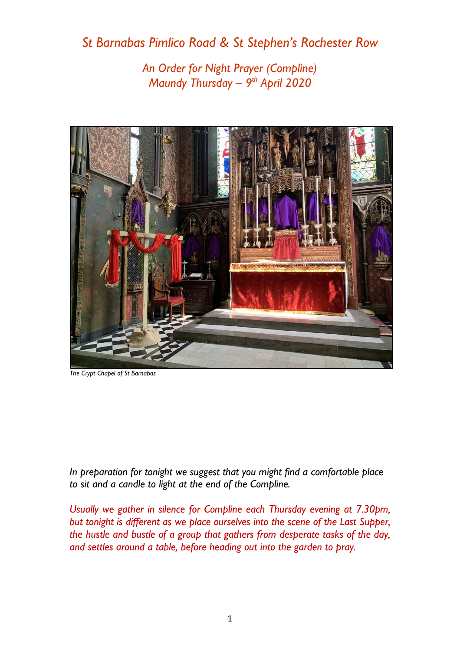*St Barnabas Pimlico Road & St Stephen's Rochester Row*

*An Order for Night Prayer (Compline) Maundy Thursday – 9 th April 2020*



*The Crypt Chapel of St Barnabas*

*In preparation for tonight we suggest that you might find a comfortable place to sit and a candle to light at the end of the Compline.*

*Usually we gather in silence for Compline each Thursday evening at 7.30pm, but tonight is different as we place ourselves into the scene of the Last Supper, the hustle and bustle of a group that gathers from desperate tasks of the day, and settles around a table, before heading out into the garden to pray.*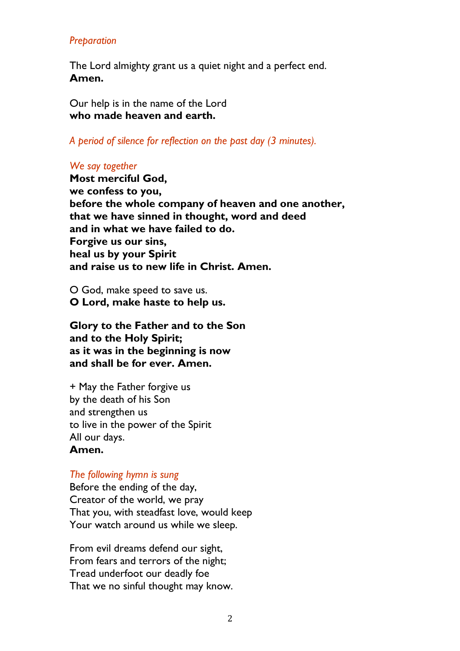#### *Preparation*

The Lord almighty grant us a quiet night and a perfect end. **Amen.**

Our help is in the name of the Lord **who made heaven and earth.**

*A period of silence for reflection on the past day (3 minutes).*

#### *We say together*

**Most merciful God, we confess to you, before the whole company of heaven and one another, that we have sinned in thought, word and deed and in what we have failed to do. Forgive us our sins, heal us by your Spirit and raise us to new life in Christ. Amen.**

O God, make speed to save us. **O Lord, make haste to help us.**

**Glory to the Father and to the Son and to the Holy Spirit; as it was in the beginning is now and shall be for ever. Amen.**

+ May the Father forgive us by the death of his Son and strengthen us to live in the power of the Spirit All our days. **Amen.**

#### *The following hymn is sung*

Before the ending of the day, Creator of the world, we pray That you, with steadfast love, would keep Your watch around us while we sleep.

From evil dreams defend our sight, From fears and terrors of the night; Tread underfoot our deadly foe That we no sinful thought may know.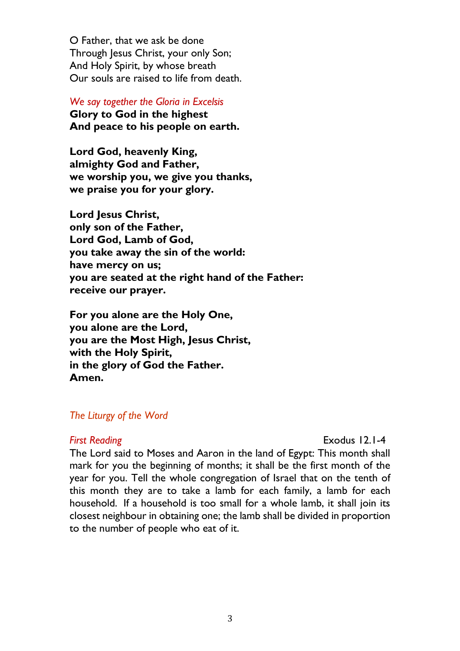O Father, that we ask be done Through Jesus Christ, your only Son; And Holy Spirit, by whose breath Our souls are raised to life from death.

*We say together the Gloria in Excelsis* **Glory to God in the highest And peace to his people on earth.**

**Lord God, heavenly King, almighty God and Father, we worship you, we give you thanks, we praise you for your glory.**

**Lord Jesus Christ, only son of the Father, Lord God, Lamb of God, you take away the sin of the world: have mercy on us; you are seated at the right hand of the Father: receive our prayer.**

**For you alone are the Holy One, you alone are the Lord, you are the Most High, Jesus Christ, with the Holy Spirit, in the glory of God the Father. Amen.**

#### *The Liturgy of the Word*

**First Reading Exodus 12.1-4** 

The Lord said to Moses and Aaron in the land of Egypt: This month shall mark for you the beginning of months; it shall be the first month of the year for you. Tell the whole congregation of Israel that on the tenth of this month they are to take a lamb for each family, a lamb for each household. If a household is too small for a whole lamb, it shall join its closest neighbour in obtaining one; the lamb shall be divided in proportion to the number of people who eat of it.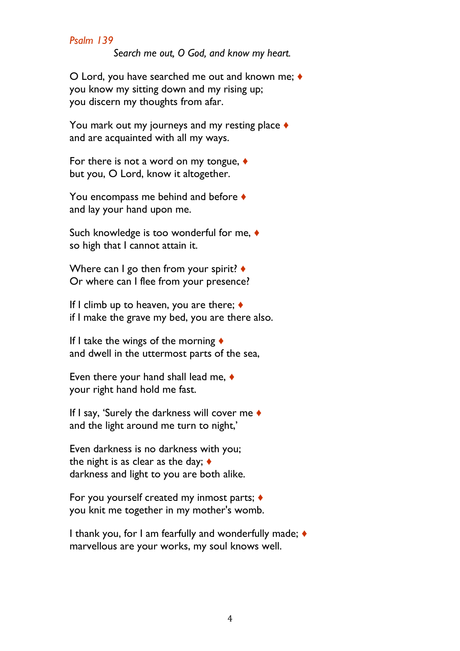#### *Psalm 139*

*Search me out, O God, and know my heart.*

O Lord, you have searched me out and known me; *♦* you know my sitting down and my rising up; you discern my thoughts from afar.

You mark out my journeys and my resting place *♦* and are acquainted with all my ways.

For there is not a word on my tongue, *♦* but you, O Lord, know it altogether.

You encompass me behind and before *♦* and lay your hand upon me.

Such knowledge is too wonderful for me, *♦* so high that I cannot attain it.

Where can I go then from your spirit? *♦* Or where can I flee from your presence?

If I climb up to heaven, you are there; *♦* if I make the grave my bed, you are there also.

If I take the wings of the morning *♦* and dwell in the uttermost parts of the sea,

Even there your hand shall lead me, *♦* your right hand hold me fast.

If I say, 'Surely the darkness will cover me *♦* and the light around me turn to night,'

Even darkness is no darkness with you; the night is as clear as the day; *♦* darkness and light to you are both alike.

For you yourself created my inmost parts; *♦* you knit me together in my mother's womb.

I thank you, for I am fearfully and wonderfully made; *♦* marvellous are your works, my soul knows well.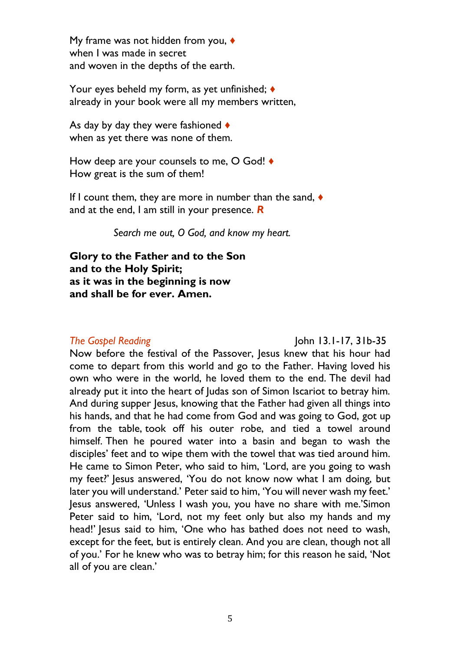My frame was not hidden from you, *♦* when I was made in secret and woven in the depths of the earth.

Your eyes beheld my form, as yet unfinished; *♦* already in your book were all my members written,

As day by day they were fashioned *♦* when as yet there was none of them.

How deep are your counsels to me, O God! *♦* How great is the sum of them!

If I count them, they are more in number than the sand, *♦* and at the end, I am still in your presence. *R*

*Search me out, O God, and know my heart.*

**Glory to the Father and to the Son and to the Holy Spirit; as it was in the beginning is now and shall be for ever. Amen.**

#### *The Gospel Reading* John 13.1-17, 31b-35

Now before the festival of the Passover, Jesus knew that his hour had come to depart from this world and go to the Father. Having loved his own who were in the world, he loved them to the end. The devil had already put it into the heart of Judas son of Simon Iscariot to betray him. And during supper Jesus, knowing that the Father had given all things into his hands, and that he had come from God and was going to God, got up from the table, took off his outer robe, and tied a towel around himself. Then he poured water into a basin and began to wash the disciples' feet and to wipe them with the towel that was tied around him. He came to Simon Peter, who said to him, 'Lord, are you going to wash my feet?' Jesus answered, 'You do not know now what I am doing, but later you will understand.' Peter said to him, 'You will never wash my feet.' Jesus answered, 'Unless I wash you, you have no share with me.'Simon Peter said to him, 'Lord, not my feet only but also my hands and my head!' Jesus said to him, 'One who has bathed does not need to wash, except for the feet, but is entirely clean. And you are clean, though not all of you.' For he knew who was to betray him; for this reason he said, 'Not all of you are clean.'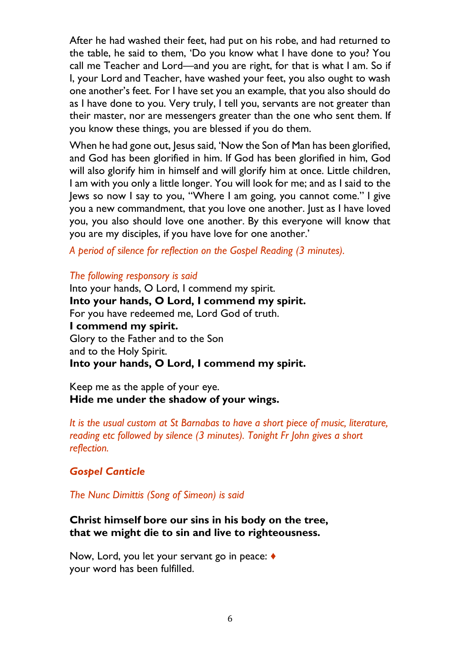After he had washed their feet, had put on his robe, and had returned to the table, he said to them, 'Do you know what I have done to you? You call me Teacher and Lord—and you are right, for that is what I am. So if I, your Lord and Teacher, have washed your feet, you also ought to wash one another's feet. For I have set you an example, that you also should do as I have done to you. Very truly, I tell you, servants are not greater than their master, nor are messengers greater than the one who sent them. If you know these things, you are blessed if you do them.

When he had gone out, Jesus said, 'Now the Son of Man has been glorified, and God has been glorified in him. If God has been glorified in him, God will also glorify him in himself and will glorify him at once. Little children, I am with you only a little longer. You will look for me; and as I said to the Jews so now I say to you, "Where I am going, you cannot come." I give you a new commandment, that you love one another. Just as I have loved you, you also should love one another. By this everyone will know that you are my disciples, if you have love for one another.'

*A period of silence for reflection on the Gospel Reading (3 minutes).*

#### *The following responsory is said*

Into your hands, O Lord, I commend my spirit. **Into your hands, O Lord, I commend my spirit.** For you have redeemed me, Lord God of truth. **I commend my spirit.** Glory to the Father and to the Son and to the Holy Spirit. **Into your hands, O Lord, I commend my spirit.**

Keep me as the apple of your eye. **Hide me under the shadow of your wings.**

*It is the usual custom at St Barnabas to have a short piece of music, literature, reading etc followed by silence (3 minutes). Tonight Fr John gives a short reflection.*

# *Gospel Canticle*

*The Nunc Dimittis (Song of Simeon) is said*

# **Christ himself bore our sins in his body on the tree, that we might die to sin and live to righteousness.**

Now, Lord, you let your servant go in peace: *♦* your word has been fulfilled.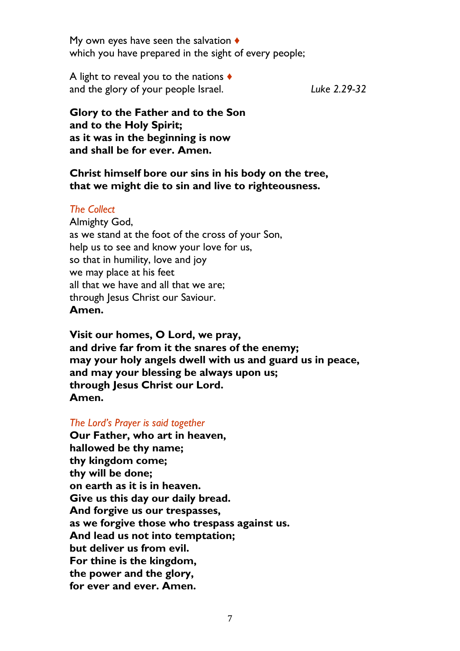My own eyes have seen the salvation *♦* which you have prepared in the sight of every people;

A light to reveal you to the nations *♦* and the glory of your people Israel. *Luke 2.29-32*

**Glory to the Father and to the Son and to the Holy Spirit; as it was in the beginning is now and shall be for ever. Amen.**

## **Christ himself bore our sins in his body on the tree, that we might die to sin and live to righteousness.**

## *The Collect*

Almighty God, as we stand at the foot of the cross of your Son, help us to see and know your love for us, so that in humility, love and joy we may place at his feet all that we have and all that we are; through Jesus Christ our Saviour. **Amen.**

**Visit our homes, O Lord, we pray, and drive far from it the snares of the enemy; may your holy angels dwell with us and guard us in peace, and may your blessing be always upon us; through Jesus Christ our Lord. Amen.**

## *The Lord's Prayer is said together*

**Our Father, who art in heaven, hallowed be thy name; thy kingdom come; thy will be done; on earth as it is in heaven. Give us this day our daily bread. And forgive us our trespasses, as we forgive those who trespass against us. And lead us not into temptation; but deliver us from evil. For thine is the kingdom, the power and the glory, for ever and ever. Amen.**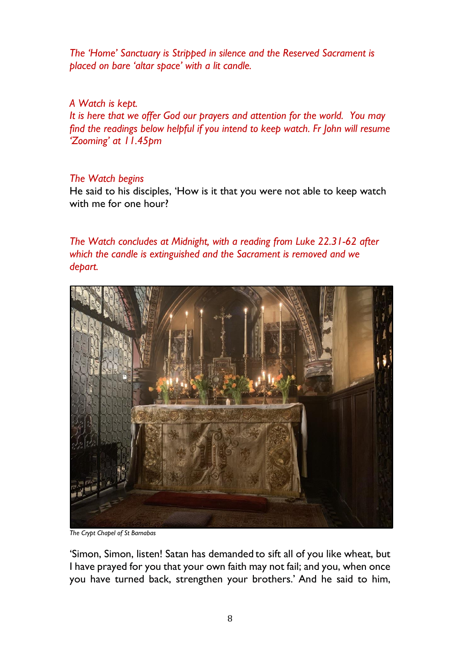*The 'Home' Sanctuary is Stripped in silence and the Reserved Sacrament is placed on bare 'altar space' with a lit candle.*

## *A Watch is kept.*

*It is here that we offer God our prayers and attention for the world. You may find the readings below helpful if you intend to keep watch. Fr John will resume 'Zooming' at 11.45pm*

## *The Watch begins*

He said to his disciples, 'How is it that you were not able to keep watch with me for one hour?

*The Watch concludes at Midnight, with a reading from Luke 22.31-62 after which the candle is extinguished and the Sacrament is removed and we depart.*



*The Crypt Chapel of St Barnabas*

'Simon, Simon, listen! Satan has demanded to sift all of you like wheat, but I have prayed for you that your own faith may not fail; and you, when once you have turned back, strengthen your brothers.' And he said to him,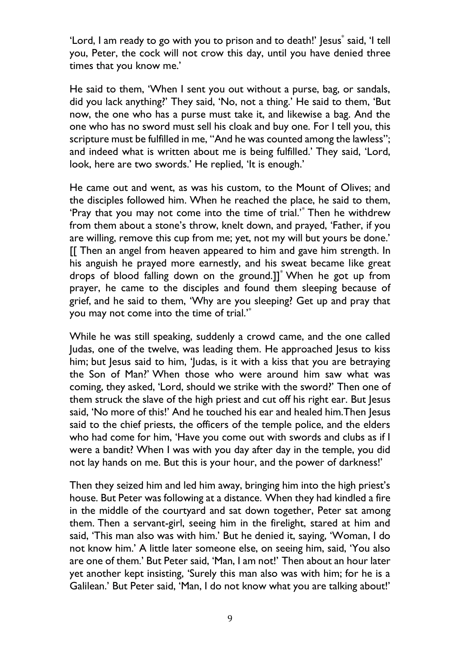'Lord, I am ready to go with you to prison and to death!' Jesus $^{\ast}$  said, 'I tell you, Peter, the cock will not crow this day, until you have denied three times that you know me.'

He said to them, 'When I sent you out without a purse, bag, or sandals, did you lack anything?' They said, 'No, not a thing.' He said to them, 'But now, the one who has a purse must take it, and likewise a bag. And the one who has no sword must sell his cloak and buy one. For I tell you, this scripture must be fulfilled in me, "And he was counted among the lawless"; and indeed what is written about me is being fulfilled.' They said, 'Lord, look, here are two swords.' He replied, 'It is enough.'

He came out and went, as was his custom, to the Mount of Olives; and the disciples followed him. When he reached the place, he said to them, 'Pray that you may not come into the time of trial.'\* Then he withdrew from them about a stone's throw, knelt down, and prayed, 'Father, if you are willing, remove this cup from me; yet, not my will but yours be done.' [[ Then an angel from heaven appeared to him and gave him strength. In his anguish he prayed more earnestly, and his sweat became like great drops of blood falling down on the ground.]]\* When he got up from prayer, he came to the disciples and found them sleeping because of grief, and he said to them, 'Why are you sleeping? Get up and pray that you may not come into the time of trial.' $^\ast$ 

While he was still speaking, suddenly a crowd came, and the one called Judas, one of the twelve, was leading them. He approached Jesus to kiss him; but Jesus said to him, 'Judas, is it with a kiss that you are betraying the Son of Man?' When those who were around him saw what was coming, they asked, 'Lord, should we strike with the sword?' Then one of them struck the slave of the high priest and cut off his right ear. But Jesus said, 'No more of this!' And he touched his ear and healed him. Then lesus said to the chief priests, the officers of the temple police, and the elders who had come for him, 'Have you come out with swords and clubs as if I were a bandit? When I was with you day after day in the temple, you did not lay hands on me. But this is your hour, and the power of darkness!'

Then they seized him and led him away, bringing him into the high priest's house. But Peter was following at a distance. When they had kindled a fire in the middle of the courtyard and sat down together, Peter sat among them. Then a servant-girl, seeing him in the firelight, stared at him and said, 'This man also was with him.' But he denied it, saying, 'Woman, I do not know him.' A little later someone else, on seeing him, said, 'You also are one of them.' But Peter said, 'Man, I am not!' Then about an hour later yet another kept insisting, 'Surely this man also was with him; for he is a Galilean.' But Peter said, 'Man, I do not know what you are talking about!'